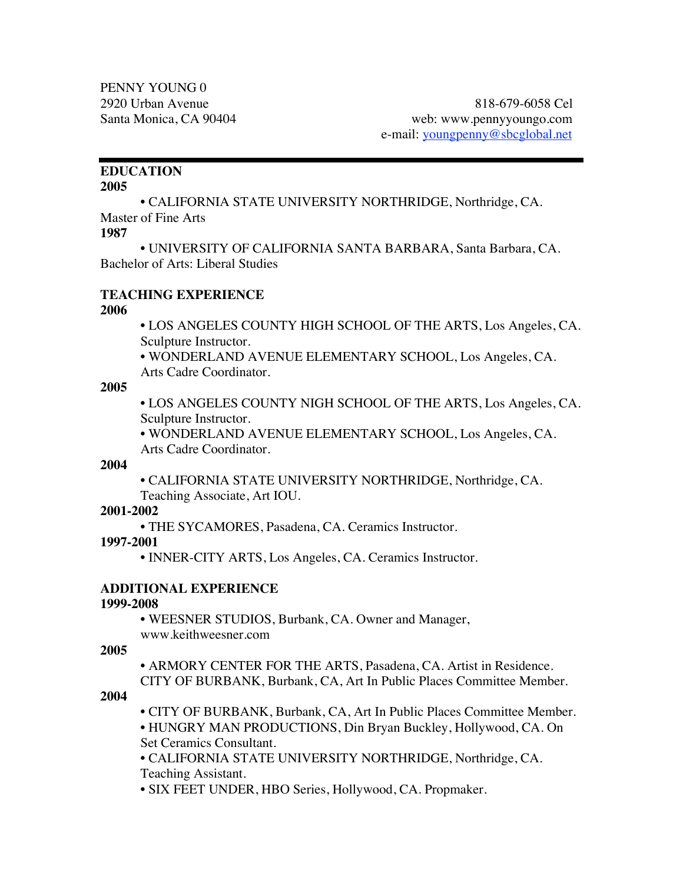# **EDUCATION**

#### **2005**

• CALIFORNIA STATE UNIVERSITY NORTHRIDGE, Northridge, CA. Master of Fine Arts

### **1987**

• UNIVERSITY OF CALIFORNIA SANTA BARBARA, Santa Barbara, CA. Bachelor of Arts: Liberal Studies

### **TEACHING EXPERIENCE**

### **2006**

• LOS ANGELES COUNTY HIGH SCHOOL OF THE ARTS, Los Angeles, CA. Sculpture Instructor.

• WONDERLAND AVENUE ELEMENTARY SCHOOL, Los Angeles, CA. Arts Cadre Coordinator.

### **2005**

• LOS ANGELES COUNTY NIGH SCHOOL OF THE ARTS, Los Angeles, CA. Sculpture Instructor.

• WONDERLAND AVENUE ELEMENTARY SCHOOL, Los Angeles, CA. Arts Cadre Coordinator.

### **2004**

• CALIFORNIA STATE UNIVERSITY NORTHRIDGE, Northridge, CA. Teaching Associate, Art IOU.

## **2001-2002**

• THE SYCAMORES, Pasadena, CA. Ceramics Instructor.

### **1997-2001**

• INNER-CITY ARTS, Los Angeles, CA. Ceramics Instructor.

## **ADDITIONAL EXPERIENCE**

## **1999-2008**

• WEESNER STUDIOS, Burbank, CA. Owner and Manager, www.keithweesner.com

## **2005**

• ARMORY CENTER FOR THE ARTS, Pasadena, CA. Artist in Residence. CITY OF BURBANK, Burbank, CA, Art In Public Places Committee Member.

## **2004**

• CITY OF BURBANK, Burbank, CA, Art In Public Places Committee Member. • HUNGRY MAN PRODUCTIONS, Din Bryan Buckley, Hollywood, CA. On Set Ceramics Consultant.

• CALIFORNIA STATE UNIVERSITY NORTHRIDGE, Northridge, CA. Teaching Assistant.

• SIX FEET UNDER, HBO Series, Hollywood, CA. Propmaker.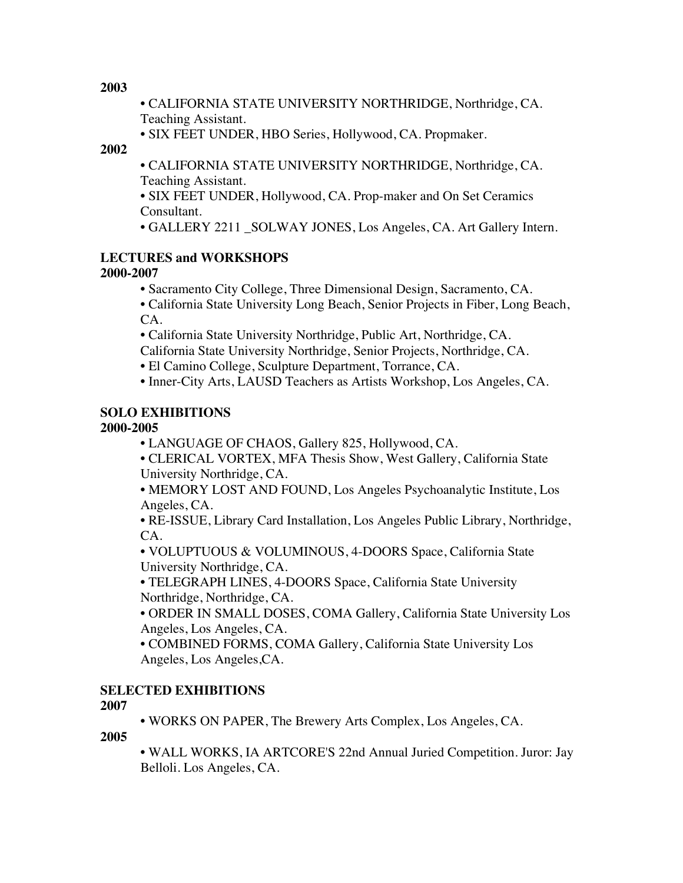**2003**

• CALIFORNIA STATE UNIVERSITY NORTHRIDGE, Northridge, CA. Teaching Assistant.

• SIX FEET UNDER, HBO Series, Hollywood, CA. Propmaker.

**2002**

• CALIFORNIA STATE UNIVERSITY NORTHRIDGE, Northridge, CA. Teaching Assistant.

• SIX FEET UNDER, Hollywood, CA. Prop-maker and On Set Ceramics Consultant.

• GALLERY 2211 SOLWAY JONES, Los Angeles, CA. Art Gallery Intern.

# **LECTURES and WORKSHOPS**

## **2000-2007**

• Sacramento City College, Three Dimensional Design, Sacramento, CA.

• California State University Long Beach, Senior Projects in Fiber, Long Beach, CA.

• California State University Northridge, Public Art, Northridge, CA.

California State University Northridge, Senior Projects, Northridge, CA.

• El Camino College, Sculpture Department, Torrance, CA.

• Inner-City Arts, LAUSD Teachers as Artists Workshop, Los Angeles, CA.

## **SOLO EXHIBITIONS**

## **2000-2005**

• LANGUAGE OF CHAOS, Gallery 825, Hollywood, CA.

• CLERICAL VORTEX, MFA Thesis Show, West Gallery, California State University Northridge, CA.

• MEMORY LOST AND FOUND, Los Angeles Psychoanalytic Institute, Los Angeles, CA.

• RE-ISSUE, Library Card Installation, Los Angeles Public Library, Northridge, CA.

• VOLUPTUOUS & VOLUMINOUS, 4-DOORS Space, California State University Northridge, CA.

• TELEGRAPH LINES, 4-DOORS Space, California State University Northridge, Northridge, CA.

• ORDER IN SMALL DOSES, COMA Gallery, California State University Los Angeles, Los Angeles, CA.

• COMBINED FORMS, COMA Gallery, California State University Los Angeles, Los Angeles,CA.

## **SELECTED EXHIBITIONS**

**2007**

• WORKS ON PAPER, The Brewery Arts Complex, Los Angeles, CA.

**2005**

• WALL WORKS, IA ARTCORE'S 22nd Annual Juried Competition. Juror: Jay Belloli. Los Angeles, CA.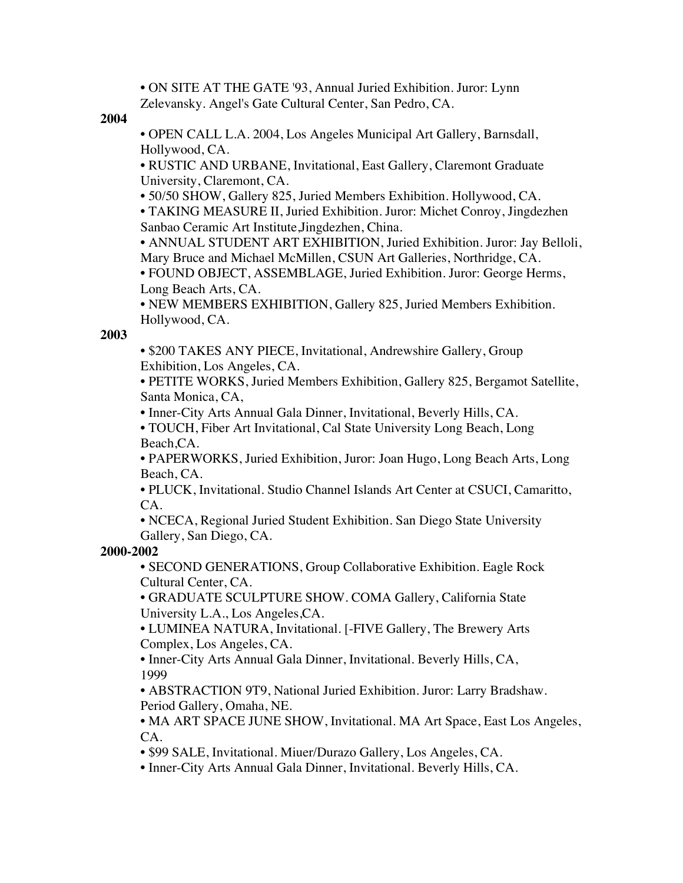• ON SITE AT THE GATE '93, Annual Juried Exhibition. Juror: Lynn Zelevansky. Angel's Gate Cultural Center, San Pedro, CA.

**2004**

• OPEN CALL L.A. 2004, Los Angeles Municipal Art Gallery, Barnsdall, Hollywood, CA.

• RUSTIC AND URBANE, Invitational, East Gallery, Claremont Graduate University, Claremont, CA.

• 50/50 SHOW, Gallery 825, Juried Members Exhibition. Hollywood, CA.

• TAKING MEASURE II, Juried Exhibition. Juror: Michet Conroy, Jingdezhen Sanbao Ceramic Art Institute,Jingdezhen, China.

• ANNUAL STUDENT ART EXHIBITION, Juried Exhibition. Juror: Jay Belloli, Mary Bruce and Michael McMillen, CSUN Art Galleries, Northridge, CA.

• FOUND OBJECT, ASSEMBLAGE, Juried Exhibition. Juror: George Herms, Long Beach Arts, CA.

• NEW MEMBERS EXHIBITION, Gallery 825, Juried Members Exhibition. Hollywood, CA.

### **2003**

• \$200 TAKES ANY PIECE, Invitational, Andrewshire Gallery, Group Exhibition, Los Angeles, CA.

• PETITE WORKS, Juried Members Exhibition, Gallery 825, Bergamot Satellite, Santa Monica, CA,

• Inner-City Arts Annual Gala Dinner, Invitational, Beverly Hills, CA.

• TOUCH, Fiber Art Invitational, Cal State University Long Beach, Long Beach,CA.

• PAPERWORKS, Juried Exhibition, Juror: Joan Hugo, Long Beach Arts, Long Beach, CA.

• PLUCK, Invitational. Studio Channel Islands Art Center at CSUCI, Camaritto, CA.

• NCECA, Regional Juried Student Exhibition. San Diego State University Gallery, San Diego, CA.

## **2000-2002**

• SECOND GENERATIONS, Group Collaborative Exhibition. Eagle Rock Cultural Center, CA.

• GRADUATE SCULPTURE SHOW. COMA Gallery, California State University L.A., Los Angeles,CA.

• LUMINEA NATURA, Invitational. [-FIVE Gallery, The Brewery Arts Complex, Los Angeles, CA.

• Inner-City Arts Annual Gala Dinner, Invitational. Beverly Hills, CA, 1999

• ABSTRACTION 9T9, National Juried Exhibition. Juror: Larry Bradshaw. Period Gallery, Omaha, NE.

• MA ART SPACE JUNE SHOW, Invitational. MA Art Space, East Los Angeles, CA.

• \$99 SALE, Invitational. Miuer/Durazo Gallery, Los Angeles, CA.

• Inner-City Arts Annual Gala Dinner, Invitational. Beverly Hills, CA.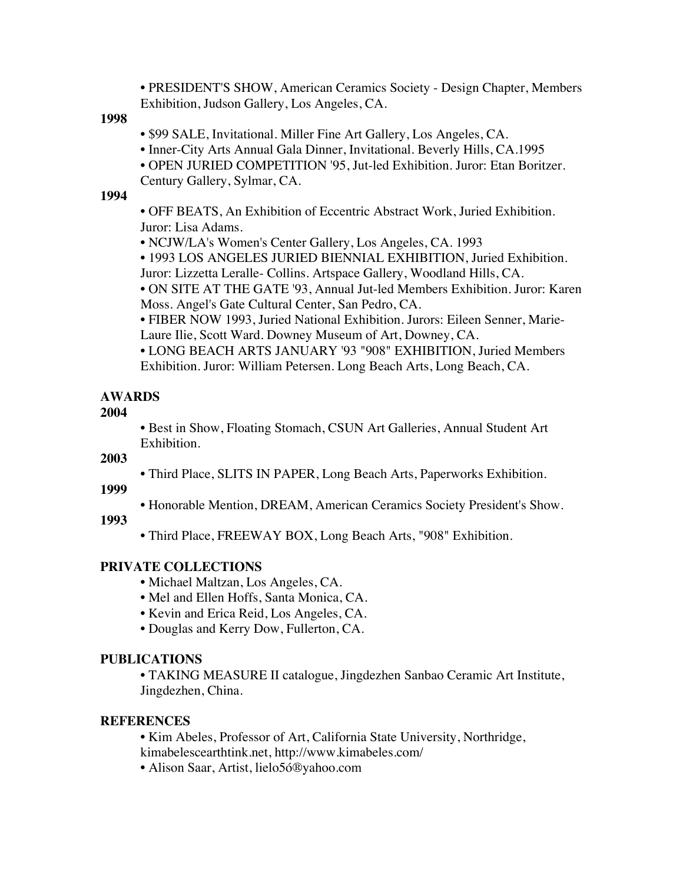• PRESIDENT'S SHOW, American Ceramics Society - Design Chapter, Members Exhibition, Judson Gallery, Los Angeles, CA.

**1998**

• \$99 SALE, Invitational. Miller Fine Art Gallery, Los Angeles, CA.

- Inner-City Arts Annual Gala Dinner, Invitational. Beverly Hills, CA.1995
- OPEN JURIED COMPETITION '95, Jut-led Exhibition. Juror: Etan Boritzer. Century Gallery, Sylmar, CA.

#### **1994**

• OFF BEATS, An Exhibition of Eccentric Abstract Work, Juried Exhibition. Juror: Lisa Adams.

• NCJW/LA's Women's Center Gallery, Los Angeles, CA. 1993

• 1993 LOS ANGELES JURIED BIENNIAL EXHIBITION, Juried Exhibition. Juror: Lizzetta Leralle- Collins. Artspace Gallery, Woodland Hills, CA.

• ON SITE AT THE GATE '93, Annual Jut-led Members Exhibition. Juror: Karen Moss. Angel's Gate Cultural Center, San Pedro, CA.

• FIBER NOW 1993, Juried National Exhibition. Jurors: Eileen Senner, Marie-Laure Ilie, Scott Ward. Downey Museum of Art, Downey, CA.

• LONG BEACH ARTS JANUARY '93 "908" EXHIBITION, Juried Members Exhibition. Juror: William Petersen. Long Beach Arts, Long Beach, CA.

### **AWARDS**

#### **2004**

• Best in Show, Floating Stomach, CSUN Art Galleries, Annual Student Art Exhibition.

**2003**

• Third Place, SLITS IN PAPER, Long Beach Arts, Paperworks Exhibition.

**1999**

• Honorable Mention, DREAM, American Ceramics Society President's Show.

**1993**

• Third Place, FREEWAY BOX, Long Beach Arts, "908" Exhibition.

### **PRIVATE COLLECTIONS**

- Michael Maltzan, Los Angeles, CA.
- Mel and Ellen Hoffs, Santa Monica, CA.
- Kevin and Erica Reid, Los Angeles, CA.
- Douglas and Kerry Dow, Fullerton, CA.

#### **PUBLICATIONS**

• TAKING MEASURE II catalogue, Jingdezhen Sanbao Ceramic Art Institute, Jingdezhen, China.

#### **REFERENCES**

• Kim Abeles, Professor of Art, California State University, Northridge,

kimabelescearthtink.net, http://www.kimabeles.com/

• Alison Saar, Artist, lielo5ó®yahoo.com